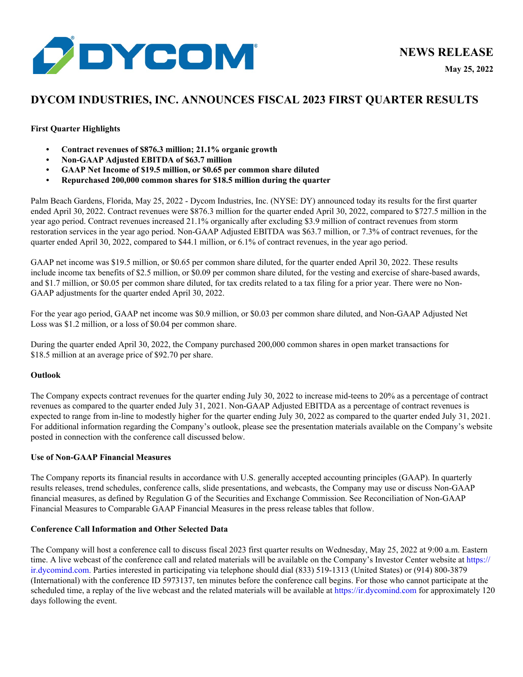

# **DYCOM INDUSTRIES, INC. ANNOUNCES FISCAL 2023 FIRST QUARTER RESULTS**

## **First Quarter Highlights**

- **• Contract revenues of \$876.3 million; 21.1% organic growth**
- **• Non-GAAP Adjusted EBITDA of \$63.7 million**
- **• GAAP Net Income of \$19.5 million, or \$0.65 per common share diluted**
- **• Repurchased 200,000 common shares for \$18.5 million during the quarter**

Palm Beach Gardens, Florida, May 25, 2022 - Dycom Industries, Inc. (NYSE: DY) announced today its results for the first quarter ended April 30, 2022. Contract revenues were \$876.3 million for the quarter ended April 30, 2022, compared to \$727.5 million in the year ago period. Contract revenues increased 21.1% organically after excluding \$3.9 million of contract revenues from storm restoration services in the year ago period. Non-GAAP Adjusted EBITDA was \$63.7 million, or 7.3% of contract revenues, for the quarter ended April 30, 2022, compared to \$44.1 million, or 6.1% of contract revenues, in the year ago period.

GAAP net income was \$19.5 million, or \$0.65 per common share diluted, for the quarter ended April 30, 2022. These results include income tax benefits of \$2.5 million, or \$0.09 per common share diluted, for the vesting and exercise of share-based awards, and \$1.7 million, or \$0.05 per common share diluted, for tax credits related to a tax filing for a prior year. There were no Non-GAAP adjustments for the quarter ended April 30, 2022.

For the year ago period, GAAP net income was \$0.9 million, or \$0.03 per common share diluted, and Non-GAAP Adjusted Net Loss was \$1.2 million, or a loss of \$0.04 per common share.

During the quarter ended April 30, 2022, the Company purchased 200,000 common shares in open market transactions for \$18.5 million at an average price of \$92.70 per share.

## **Outlook**

The Company expects contract revenues for the quarter ending July 30, 2022 to increase mid-teens to 20% as a percentage of contract revenues as compared to the quarter ended July 31, 2021. Non-GAAP Adjusted EBITDA as a percentage of contract revenues is expected to range from in-line to modestly higher for the quarter ending July 30, 2022 as compared to the quarter ended July 31, 2021. For additional information regarding the Company's outlook, please see the presentation materials available on the Company's website posted in connection with the conference call discussed below.

## **Use of Non-GAAP Financial Measures**

The Company reports its financial results in accordance with U.S. generally accepted accounting principles (GAAP). In quarterly results releases, trend schedules, conference calls, slide presentations, and webcasts, the Company may use or discuss Non-GAAP financial measures, as defined by Regulation G of the Securities and Exchange Commission. See Reconciliation of Non-GAAP Financial Measures to Comparable GAAP Financial Measures in the press release tables that follow.

## **Conference Call Information and Other Selected Data**

The Company will host a conference call to discuss fiscal 2023 first quarter results on Wednesday, May 25, 2022 at 9:00 a.m. Eastern time. A live webcast of the conference call and related materials will be available on the Company's Investor Center website at https:// ir.dycomind.com. Parties interested in participating via telephone should dial (833) 519-1313 (United States) or (914) 800-3879 (International) with the conference ID 5973137, ten minutes before the conference call begins. For those who cannot participate at the scheduled time, a replay of the live webcast and the related materials will be available at https://ir.dycomind.com for approximately 120 days following the event.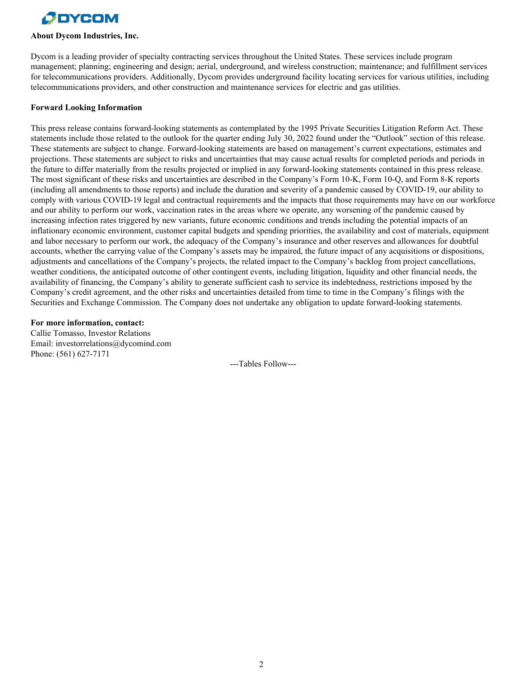

#### **About Dycom Industries, Inc.**

Dycom is a leading provider of specialty contracting services throughout the United States. These services include program management; planning; engineering and design; aerial, underground, and wireless construction; maintenance; and fulfillment services for telecommunications providers. Additionally, Dycom provides underground facility locating services for various utilities, including telecommunications providers, and other construction and maintenance services for electric and gas utilities.

#### **Forward Looking Information**

This press release contains forward-looking statements as contemplated by the 1995 Private Securities Litigation Reform Act. These statements include those related to the outlook for the quarter ending July 30, 2022 found under the "Outlook" section of this release. These statements are subject to change. Forward-looking statements are based on management's current expectations, estimates and projections. These statements are subject to risks and uncertainties that may cause actual results for completed periods and periods in the future to differ materially from the results projected or implied in any forward-looking statements contained in this press release. The most significant of these risks and uncertainties are described in the Company's Form 10-K, Form 10-Q, and Form 8-K reports (including all amendments to those reports) and include the duration and severity of a pandemic caused by COVID-19, our ability to comply with various COVID-19 legal and contractual requirements and the impacts that those requirements may have on our workforce and our ability to perform our work, vaccination rates in the areas where we operate, any worsening of the pandemic caused by increasing infection rates triggered by new variants, future economic conditions and trends including the potential impacts of an inflationary economic environment, customer capital budgets and spending priorities, the availability and cost of materials, equipment and labor necessary to perform our work, the adequacy of the Company's insurance and other reserves and allowances for doubtful accounts, whether the carrying value of the Company's assets may be impaired, the future impact of any acquisitions or dispositions, adjustments and cancellations of the Company's projects, the related impact to the Company's backlog from project cancellations, weather conditions, the anticipated outcome of other contingent events, including litigation, liquidity and other financial needs, the availability of financing, the Company's ability to generate sufficient cash to service its indebtedness, restrictions imposed by the Company's credit agreement, and the other risks and uncertainties detailed from time to time in the Company's filings with the Securities and Exchange Commission. The Company does not undertake any obligation to update forward-looking statements.

#### **For more information, contact:**

Callie Tomasso, Investor Relations Email: investorrelations@dycomind.com Phone: (561) 627-7171

---Tables Follow---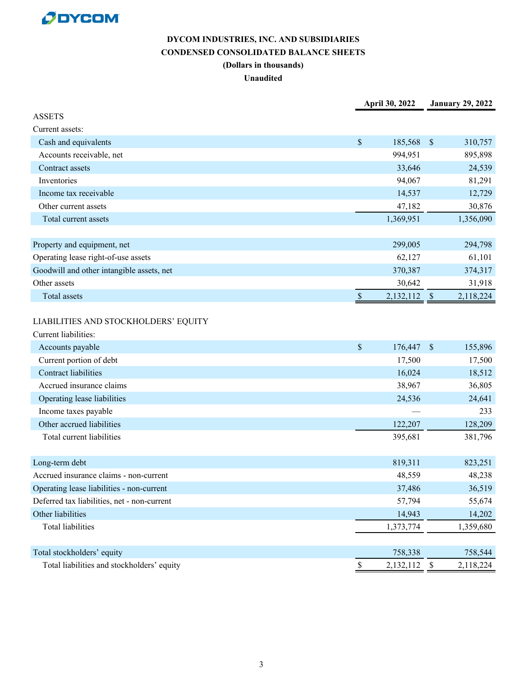

# **DYCOM INDUSTRIES, INC. AND SUBSIDIARIES CONDENSED CONSOLIDATED BALANCE SHEETS (Dollars in thousands) Unaudited**

|                                                              | April 30, 2022            |           | <b>January 29, 2022</b>   |           |
|--------------------------------------------------------------|---------------------------|-----------|---------------------------|-----------|
| <b>ASSETS</b>                                                |                           |           |                           |           |
| Current assets:                                              |                           |           |                           |           |
| Cash and equivalents                                         | $\mathbb{S}$              | 185,568   | $\boldsymbol{\mathsf{S}}$ | 310,757   |
| Accounts receivable, net                                     |                           | 994,951   |                           | 895,898   |
| Contract assets                                              |                           | 33,646    |                           | 24,539    |
| Inventories                                                  |                           | 94,067    |                           | 81,291    |
| Income tax receivable                                        |                           | 14,537    |                           | 12,729    |
| Other current assets                                         |                           | 47,182    |                           | 30,876    |
| Total current assets                                         |                           | 1,369,951 |                           | 1,356,090 |
|                                                              |                           |           |                           |           |
| Property and equipment, net                                  |                           | 299,005   |                           | 294,798   |
| Operating lease right-of-use assets                          |                           | 62,127    |                           | 61,101    |
| Goodwill and other intangible assets, net                    |                           | 370,387   |                           | 374,317   |
| Other assets                                                 |                           | 30,642    |                           | 31,918    |
| Total assets                                                 | $\boldsymbol{\mathsf{S}}$ | 2,132,112 | $\mathbb{S}$              | 2,118,224 |
| LIABILITIES AND STOCKHOLDERS' EQUITY<br>Current liabilities: |                           |           |                           |           |
| Accounts payable                                             | $\mathcal{S}$             | 176,447   | $\mathbf{s}$              | 155,896   |
| Current portion of debt                                      |                           | 17,500    |                           | 17,500    |
| <b>Contract liabilities</b>                                  |                           | 16,024    |                           | 18,512    |
| Accrued insurance claims                                     |                           | 38,967    |                           | 36,805    |
| Operating lease liabilities                                  |                           | 24,536    |                           | 24,641    |
| Income taxes payable                                         |                           |           |                           | 233       |
| Other accrued liabilities                                    |                           | 122,207   |                           | 128,209   |
| Total current liabilities                                    |                           | 395,681   |                           | 381,796   |
| Long-term debt                                               |                           | 819,311   |                           | 823,251   |
| Accrued insurance claims - non-current                       |                           | 48,559    |                           | 48,238    |
| Operating lease liabilities - non-current                    |                           | 37,486    |                           | 36,519    |
| Deferred tax liabilities, net - non-current                  |                           | 57,794    |                           | 55,674    |
| Other liabilities                                            |                           | 14,943    |                           | 14,202    |
| <b>Total liabilities</b>                                     |                           | 1,373,774 |                           | 1,359,680 |
|                                                              |                           |           |                           |           |
| Total stockholders' equity                                   |                           | 758,338   |                           | 758,544   |
| Total liabilities and stockholders' equity                   | <sup>\$</sup>             | 2,132,112 | $\boldsymbol{\mathsf{S}}$ | 2,118,224 |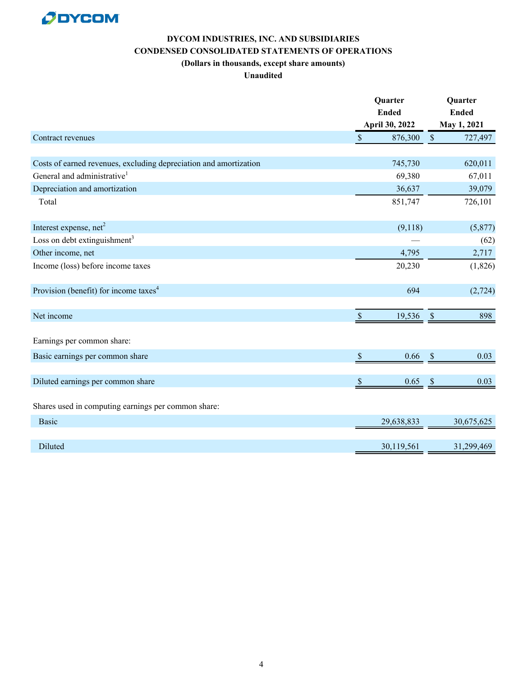

# **DYCOM INDUSTRIES, INC. AND SUBSIDIARIES CONDENSED CONSOLIDATED STATEMENTS OF OPERATIONS (Dollars in thousands, except share amounts)**

## **Unaudited**

|                                                                   |               | Quarter<br><b>Ended</b><br>April 30, 2022 |               | Quarter<br><b>Ended</b> |  |
|-------------------------------------------------------------------|---------------|-------------------------------------------|---------------|-------------------------|--|
|                                                                   |               |                                           |               |                         |  |
|                                                                   |               |                                           |               | May 1, 2021             |  |
| Contract revenues                                                 | $\mathsf{\$}$ | 876,300                                   | $\sqrt{\ }$   | 727,497                 |  |
|                                                                   |               |                                           |               |                         |  |
| Costs of earned revenues, excluding depreciation and amortization |               | 745,730                                   |               | 620,011                 |  |
| General and administrative <sup>1</sup>                           |               | 69,380                                    |               | 67,011                  |  |
| Depreciation and amortization                                     |               | 36,637                                    |               | 39,079                  |  |
| Total                                                             |               | 851,747                                   |               | 726,101                 |  |
| Interest expense, net <sup>2</sup>                                |               | (9,118)                                   |               | (5,877)                 |  |
| Loss on debt extinguishment <sup>3</sup>                          |               |                                           |               | (62)                    |  |
| Other income, net                                                 |               | 4,795                                     |               | 2,717                   |  |
| Income (loss) before income taxes                                 |               | 20,230                                    |               | (1,826)                 |  |
| Provision (benefit) for income taxes <sup>4</sup>                 |               | 694                                       |               | (2, 724)                |  |
| Net income                                                        | $\mathbb{S}$  | 19,536                                    | $\mathcal{S}$ | 898                     |  |
| Earnings per common share:                                        |               |                                           |               |                         |  |
| Basic earnings per common share                                   | <sup>S</sup>  | 0.66                                      | $\mathcal{S}$ | 0.03                    |  |
| Diluted earnings per common share                                 | <sup>\$</sup> | 0.65                                      | $\mathcal{S}$ | 0.03                    |  |
| Shares used in computing earnings per common share:               |               |                                           |               |                         |  |
| <b>Basic</b>                                                      |               | 29,638,833                                |               | 30,675,625              |  |
|                                                                   |               |                                           |               |                         |  |
| Diluted                                                           |               | 30,119,561                                |               | 31,299,469              |  |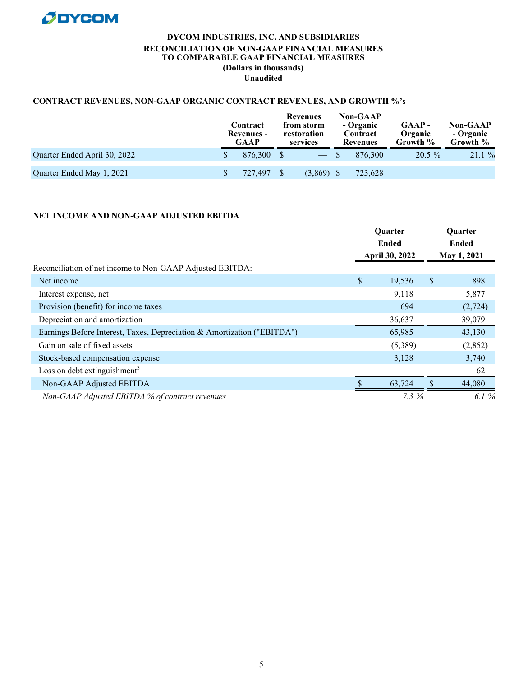

## **DYCOM INDUSTRIES, INC. AND SUBSIDIARIES RECONCILIATION OF NON-GAAP FINANCIAL MEASURES TO COMPARABLE GAAP FINANCIAL MEASURES (Dollars in thousands) Unaudited**

## **CONTRACT REVENUES, NON-GAAP ORGANIC CONTRACT REVENUES, AND GROWTH %'s**

|                              | Contract<br><b>Revenues</b> -<br><b>GAAP</b> | Revenues<br>from storm<br>restoration<br>services | <b>Non-GAAP</b><br>- Organic<br>Contract<br>Revenues |         | GAAP-<br>Organic<br>Growth % | <b>Non-GAAP</b><br>- Organic<br>Growth % |  |
|------------------------------|----------------------------------------------|---------------------------------------------------|------------------------------------------------------|---------|------------------------------|------------------------------------------|--|
| Quarter Ended April 30, 2022 | 876.300 \$                                   | $-$ \$                                            |                                                      | 876.300 | $20.5 \%$                    | 21.1%                                    |  |
| Quarter Ended May 1, 2021    | 727,497                                      | $(3,869)$ \$                                      |                                                      | 723,628 |                              |                                          |  |

## **NET INCOME AND NON-GAAP ADJUSTED EBITDA**

|                                                                         |    | Quarter<br>Ended<br>April 30, 2022 |               | Quarter<br>Ended<br>May 1, 2021 |  |
|-------------------------------------------------------------------------|----|------------------------------------|---------------|---------------------------------|--|
|                                                                         |    |                                    |               |                                 |  |
| Reconciliation of net income to Non-GAAP Adjusted EBITDA:               |    |                                    |               |                                 |  |
| Net income                                                              | \$ | 19,536                             | <sup>\$</sup> | 898                             |  |
| Interest expense, net                                                   |    | 9,118                              |               | 5,877                           |  |
| Provision (benefit) for income taxes                                    |    | 694                                |               | (2,724)                         |  |
| Depreciation and amortization                                           |    | 36,637                             |               | 39,079                          |  |
| Earnings Before Interest, Taxes, Depreciation & Amortization ("EBITDA") |    | 65,985                             |               | 43,130                          |  |
| Gain on sale of fixed assets                                            |    | (5,389)                            |               | (2,852)                         |  |
| Stock-based compensation expense                                        |    | 3,128                              |               | 3,740                           |  |
| Loss on debt extinguishment <sup>3</sup>                                |    |                                    |               | 62                              |  |
| Non-GAAP Adjusted EBITDA                                                |    | 63,724                             |               | 44,080                          |  |
| Non-GAAP Adjusted EBITDA % of contract revenues                         |    | $7.3\%$                            |               | 6.1 $%$                         |  |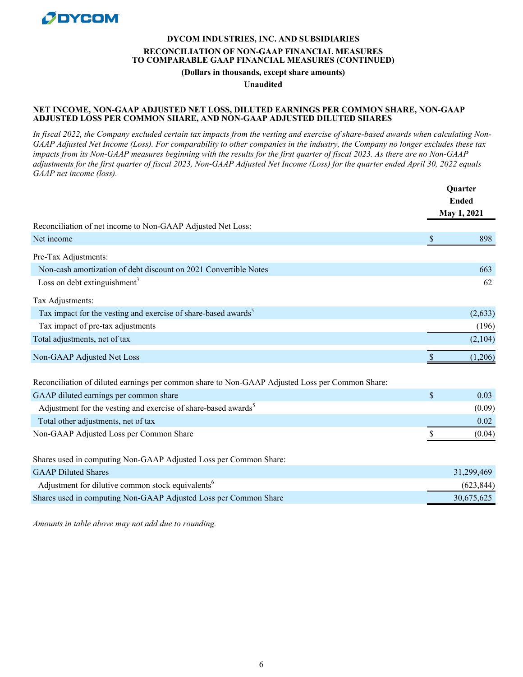

# **DYCOM INDUSTRIES, INC. AND SUBSIDIARIES RECONCILIATION OF NON-GAAP FINANCIAL MEASURES TO COMPARABLE GAAP FINANCIAL MEASURES (CONTINUED)**

**(Dollars in thousands, except share amounts)**

**Unaudited**

#### **NET INCOME, NON-GAAP ADJUSTED NET LOSS, DILUTED EARNINGS PER COMMON SHARE, NON-GAAP ADJUSTED LOSS PER COMMON SHARE, AND NON-GAAP ADJUSTED DILUTED SHARES**

*In fiscal 2022, the Company excluded certain tax impacts from the vesting and exercise of share-based awards when calculating Non-GAAP Adjusted Net Income (Loss). For comparability to other companies in the industry, the Company no longer excludes these tax impacts from its Non-GAAP measures beginning with the results for the first quarter of fiscal 2023. As there are no Non-GAAP adjustments for the first quarter of fiscal 2023, Non-GAAP Adjusted Net Income (Loss) for the quarter ended April 30, 2022 equals GAAP net income (loss).*

|                                                                                                 | <b>Quarter</b><br><b>Ended</b><br>May 1, 2021 |            |
|-------------------------------------------------------------------------------------------------|-----------------------------------------------|------------|
|                                                                                                 |                                               |            |
| Reconciliation of net income to Non-GAAP Adjusted Net Loss:                                     |                                               |            |
| Net income                                                                                      | <sup>\$</sup>                                 | 898        |
| Pre-Tax Adjustments:                                                                            |                                               |            |
| Non-cash amortization of debt discount on 2021 Convertible Notes                                |                                               | 663        |
| Loss on debt extinguishment <sup>3</sup>                                                        |                                               | 62         |
| Tax Adjustments:                                                                                |                                               |            |
| Tax impact for the vesting and exercise of share-based awards <sup>5</sup>                      |                                               | (2,633)    |
| Tax impact of pre-tax adjustments                                                               |                                               | (196)      |
| Total adjustments, net of tax                                                                   |                                               | (2,104)    |
| Non-GAAP Adjusted Net Loss                                                                      |                                               | (1,206)    |
| Reconciliation of diluted earnings per common share to Non-GAAP Adjusted Loss per Common Share: |                                               |            |
| GAAP diluted earnings per common share                                                          | $\mathsf{\$}$                                 | 0.03       |
| Adjustment for the vesting and exercise of share-based awards <sup>5</sup>                      |                                               | (0.09)     |
| Total other adjustments, net of tax                                                             |                                               | 0.02       |
| Non-GAAP Adjusted Loss per Common Share                                                         |                                               | (0.04)     |
| Shares used in computing Non-GAAP Adjusted Loss per Common Share:                               |                                               |            |
| <b>GAAP Diluted Shares</b>                                                                      |                                               | 31,299,469 |
| Adjustment for dilutive common stock equivalents <sup>6</sup>                                   |                                               | (623, 844) |
| Shares used in computing Non-GAAP Adjusted Loss per Common Share                                |                                               | 30,675,625 |
|                                                                                                 |                                               |            |

*Amounts in table above may not add due to rounding.*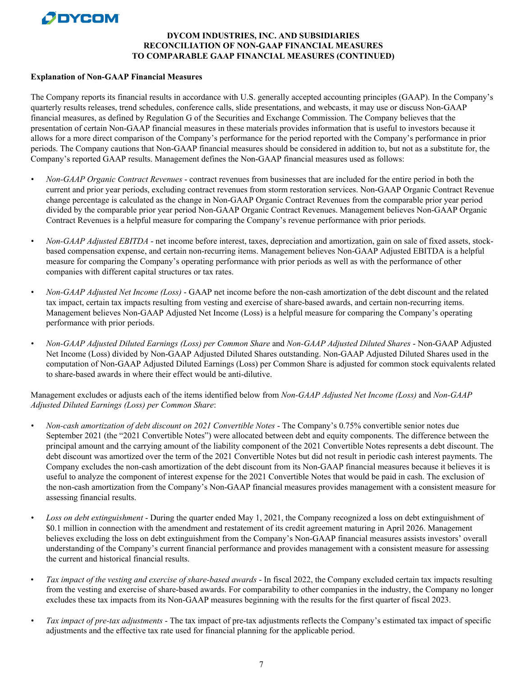# **PIDYCOM**

# **DYCOM INDUSTRIES, INC. AND SUBSIDIARIES RECONCILIATION OF NON-GAAP FINANCIAL MEASURES TO COMPARABLE GAAP FINANCIAL MEASURES (CONTINUED)**

#### **Explanation of Non-GAAP Financial Measures**

The Company reports its financial results in accordance with U.S. generally accepted accounting principles (GAAP). In the Company's quarterly results releases, trend schedules, conference calls, slide presentations, and webcasts, it may use or discuss Non-GAAP financial measures, as defined by Regulation G of the Securities and Exchange Commission. The Company believes that the presentation of certain Non-GAAP financial measures in these materials provides information that is useful to investors because it allows for a more direct comparison of the Company's performance for the period reported with the Company's performance in prior periods. The Company cautions that Non-GAAP financial measures should be considered in addition to, but not as a substitute for, the Company's reported GAAP results. Management defines the Non-GAAP financial measures used as follows:

- *• Non-GAAP Organic Contract Revenues* contract revenues from businesses that are included for the entire period in both the current and prior year periods, excluding contract revenues from storm restoration services. Non-GAAP Organic Contract Revenue change percentage is calculated as the change in Non-GAAP Organic Contract Revenues from the comparable prior year period divided by the comparable prior year period Non-GAAP Organic Contract Revenues. Management believes Non-GAAP Organic Contract Revenues is a helpful measure for comparing the Company's revenue performance with prior periods.
- *• Non-GAAP Adjusted EBITDA* net income before interest, taxes, depreciation and amortization, gain on sale of fixed assets, stockbased compensation expense, and certain non-recurring items. Management believes Non-GAAP Adjusted EBITDA is a helpful measure for comparing the Company's operating performance with prior periods as well as with the performance of other companies with different capital structures or tax rates.
- *• Non-GAAP Adjusted Net Income (Loss)*  GAAP net income before the non-cash amortization of the debt discount and the related tax impact, certain tax impacts resulting from vesting and exercise of share-based awards, and certain non-recurring items. Management believes Non-GAAP Adjusted Net Income (Loss) is a helpful measure for comparing the Company's operating performance with prior periods.
- *• Non-GAAP Adjusted Diluted Earnings (Loss) per Common Share* and *Non-GAAP Adjusted Diluted Shares*  Non-GAAP Adjusted Net Income (Loss) divided by Non-GAAP Adjusted Diluted Shares outstanding. Non-GAAP Adjusted Diluted Shares used in the computation of Non-GAAP Adjusted Diluted Earnings (Loss) per Common Share is adjusted for common stock equivalents related to share-based awards in where their effect would be anti-dilutive.

Management excludes or adjusts each of the items identified below from *Non-GAAP Adjusted Net Income (Loss)* and *Non-GAAP Adjusted Diluted Earnings (Loss) per Common Share*:

- *• Non-cash amortization of debt discount on 2021 Convertible Notes* The Company's 0.75% convertible senior notes due September 2021 (the "2021 Convertible Notes") were allocated between debt and equity components. The difference between the principal amount and the carrying amount of the liability component of the 2021 Convertible Notes represents a debt discount. The debt discount was amortized over the term of the 2021 Convertible Notes but did not result in periodic cash interest payments. The Company excludes the non-cash amortization of the debt discount from its Non-GAAP financial measures because it believes it is useful to analyze the component of interest expense for the 2021 Convertible Notes that would be paid in cash. The exclusion of the non-cash amortization from the Company's Non-GAAP financial measures provides management with a consistent measure for assessing financial results.
- *• Loss on debt extinguishment* During the quarter ended May 1, 2021, the Company recognized a loss on debt extinguishment of \$0.1 million in connection with the amendment and restatement of its credit agreement maturing in April 2026. Management believes excluding the loss on debt extinguishment from the Company's Non-GAAP financial measures assists investors' overall understanding of the Company's current financial performance and provides management with a consistent measure for assessing the current and historical financial results.
- *Tax impact of the vesting and exercise of share-based awards* In fiscal 2022, the Company excluded certain tax impacts resulting from the vesting and exercise of share-based awards. For comparability to other companies in the industry, the Company no longer excludes these tax impacts from its Non-GAAP measures beginning with the results for the first quarter of fiscal 2023.
- *• Tax impact of pre-tax adjustments* The tax impact of pre-tax adjustments reflects the Company's estimated tax impact of specific adjustments and the effective tax rate used for financial planning for the applicable period.